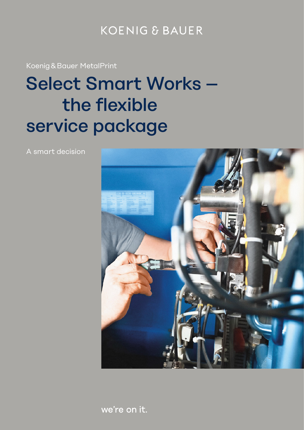### **KOENIG & BAUER**

Koenig & Bauer MetalPrint

# Select Smart Works – the flexible service package

A smart decision



we're on it.